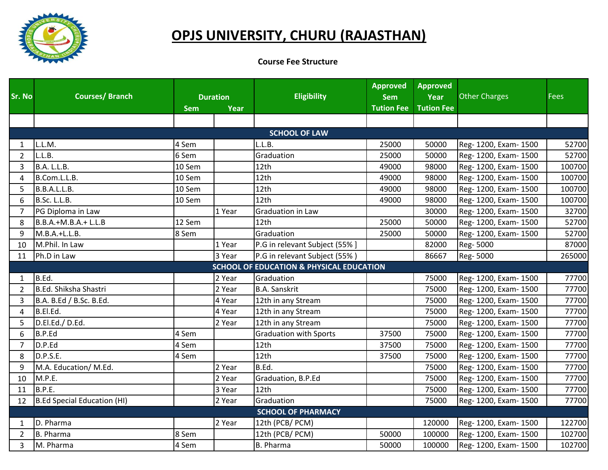

## **OPJS UNIVERSITY, CHURU (RAJASTHAN)**

**Course Fee Structure** 

| Sr. No         | <b>Courses/Branch</b>       |            |                         | <b>Eligibility</b>                                  | <b>Approved</b>                 | <b>Approved</b>           | <b>Other Charges</b>  | <b>Fees</b> |
|----------------|-----------------------------|------------|-------------------------|-----------------------------------------------------|---------------------------------|---------------------------|-----------------------|-------------|
|                |                             | <b>Sem</b> | <b>Duration</b><br>Year |                                                     | <b>Sem</b><br><b>Tution Fee</b> | Year<br><b>Tution Fee</b> |                       |             |
|                |                             |            |                         |                                                     |                                 |                           |                       |             |
|                |                             |            |                         | <b>SCHOOL OF LAW</b>                                |                                 |                           |                       |             |
|                | L.L.M.                      | 4 Sem      |                         | L.L.B.                                              |                                 |                           |                       |             |
| 1              |                             |            |                         |                                                     | 25000                           | 50000                     | Reg- 1200, Exam- 1500 | 52700       |
| $\overline{2}$ | L.L.B.                      | 6 Sem      |                         | Graduation                                          | 25000                           | 50000                     | Reg- 1200, Exam- 1500 | 52700       |
| 3              | B.A. L.L.B.                 | 10 Sem     |                         | 12 <sub>th</sub>                                    | 49000                           | 98000                     | Reg- 1200, Exam- 1500 | 100700      |
| 4              | B.Com.L.L.B.                | 10 Sem     |                         | 12 <sub>th</sub>                                    | 49000                           | 98000                     | Reg- 1200, Exam- 1500 | 100700      |
| 5              | B.B.A.L.L.B.                | 10 Sem     |                         | 12 <sub>th</sub>                                    | 49000                           | 98000                     | Reg- 1200, Exam- 1500 | 100700      |
| 6              | B.Sc. L.L.B.                | 10 Sem     |                         | 12th                                                | 49000                           | 98000                     | Reg- 1200, Exam- 1500 | 100700      |
| $\overline{7}$ | PG Diploma in Law           |            | 1 Year                  | Graduation in Law                                   |                                 | 30000                     | Reg- 1200, Exam- 1500 | 32700       |
| 8              | $B.B.A.+M.B.A.+L.L.B$       | 12 Sem     |                         | 12th                                                | 25000                           | 50000                     | Reg- 1200, Exam- 1500 | 52700       |
| 9              | $M.B.A.+L.L.B.$             | 8 Sem      |                         | Graduation                                          | 25000                           | 50000                     | Reg- 1200, Exam- 1500 | 52700       |
| 10             | M.Phil. In Law              |            | 1 Year                  | P.G in relevant Subject (55% ]                      |                                 | 82000                     | Reg-5000              | 87000       |
| 11             | Ph.D in Law                 |            | 3 Year                  | P.G in relevant Subject (55%)                       |                                 | 86667                     | Reg-5000              | 265000      |
|                |                             |            |                         | <b>SCHOOL OF EDUCATION &amp; PHYSICAL EDUCATION</b> |                                 |                           |                       |             |
| 1              | B.Ed.                       |            | 2 Year                  | Graduation                                          |                                 | 75000                     | Reg- 1200, Exam- 1500 | 77700       |
| $\overline{2}$ | B.Ed. Shiksha Shastri       |            | 2 Year                  | <b>B.A. Sanskrit</b>                                |                                 | 75000                     | Reg- 1200, Exam- 1500 | 77700       |
| 3              | B.A. B.Ed / B.Sc. B.Ed.     |            | 4 Year                  | 12th in any Stream                                  |                                 | 75000                     | Reg- 1200, Exam- 1500 | 77700       |
| 4              | B.El.Ed.                    |            | 4 Year                  | 12th in any Stream                                  |                                 | 75000                     | Reg- 1200, Exam- 1500 | 77700       |
| 5              | D.El.Ed./D.Ed.              |            | 2 Year                  | 12th in any Stream                                  |                                 | 75000                     | Reg- 1200, Exam- 1500 | 77700       |
| 6              | B.P.Ed                      | 4 Sem      |                         | <b>Graduation with Sports</b>                       | 37500                           | 75000                     | Reg- 1200, Exam- 1500 | 77700       |
| $\overline{7}$ | D.P.Ed                      | 4 Sem      |                         | 12th                                                | 37500                           | 75000                     | Reg- 1200, Exam- 1500 | 77700       |
| 8              | D.P.S.E.                    | 4 Sem      |                         | 12 <sub>th</sub>                                    | 37500                           | 75000                     | Reg- 1200, Exam- 1500 | 77700       |
| 9              | M.A. Education/ M.Ed.       |            | 2 Year                  | B.Ed.                                               |                                 | 75000                     | Reg- 1200, Exam- 1500 | 77700       |
| 10             | M.P.E.                      |            | 2 Year                  | Graduation, B.P.Ed                                  |                                 | 75000                     | Reg- 1200, Exam- 1500 | 77700       |
| 11             | B.P.E.                      |            | 3 Year                  | 12 <sub>th</sub>                                    |                                 | 75000                     | Reg- 1200, Exam- 1500 | 77700       |
| 12             | B.Ed Special Education (HI) |            | 2 Year                  | Graduation                                          |                                 | 75000                     | Reg- 1200, Exam- 1500 | 77700       |
|                |                             |            |                         | <b>SCHOOL OF PHARMACY</b>                           |                                 |                           |                       |             |
| 1              | D. Pharma                   |            | 2 Year                  | 12th (PCB/ PCM)                                     |                                 | 120000                    | Reg- 1200, Exam- 1500 | 122700      |
| $\overline{2}$ | <b>B.</b> Pharma            | 8 Sem      |                         | 12th (PCB/ PCM)                                     | 50000                           | 100000                    | Reg- 1200, Exam- 1500 | 102700      |
| 3              | M. Pharma                   | 4 Sem      |                         | B. Pharma                                           | 50000                           | 100000                    | Reg- 1200, Exam- 1500 | 102700      |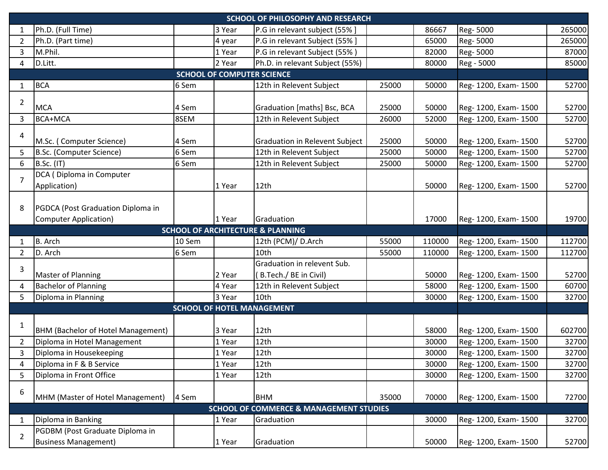|                | <b>SCHOOL OF PHILOSOPHY AND RESEARCH</b> |        |                                   |                                                    |       |        |                       |        |
|----------------|------------------------------------------|--------|-----------------------------------|----------------------------------------------------|-------|--------|-----------------------|--------|
| $\mathbf 1$    | Ph.D. (Full Time)                        |        | 3 Year                            | P.G in relevant subject (55% ]                     |       | 86667  | Reg-5000              | 265000 |
| $\overline{2}$ | Ph.D. (Part time)                        |        | 4 year                            | P.G in relevant Subject (55% ]                     |       | 65000  | Reg-5000              | 265000 |
| 3              | M.Phil.                                  |        | 1 Year                            | P.G in relevant Subject (55%)                      |       | 82000  | Reg-5000              | 87000  |
| 4              | D.Litt.                                  |        | 2 Year                            | Ph.D. in relevant Subject (55%)                    |       | 80000  | Reg - 5000            | 85000  |
|                |                                          |        | <b>SCHOOL OF COMPUTER SCIENCE</b> |                                                    |       |        |                       |        |
| 1              | <b>BCA</b>                               | 6 Sem  |                                   | 12th in Relevent Subject                           | 25000 | 50000  | Reg- 1200, Exam- 1500 | 52700  |
|                |                                          |        |                                   |                                                    |       |        |                       |        |
| 2              | <b>MCA</b>                               | 4 Sem  |                                   | Graduation [maths] Bsc, BCA                        | 25000 | 50000  | Reg- 1200, Exam- 1500 | 52700  |
| 3              | <b>BCA+MCA</b>                           | 8SEM   |                                   | 12th in Relevent Subject                           | 26000 | 52000  | Reg- 1200, Exam- 1500 | 52700  |
| 4              |                                          |        |                                   |                                                    |       |        |                       |        |
|                | M.Sc. (Computer Science)                 | 4 Sem  |                                   | <b>Graduation in Relevent Subject</b>              | 25000 | 50000  | Reg- 1200, Exam- 1500 | 52700  |
| 5              | B.Sc. (Computer Science)                 | 6 Sem  |                                   | 12th in Relevent Subject                           | 25000 | 50000  | Reg- 1200, Exam- 1500 | 52700  |
| 6              | B.Sc. (IT)                               | 6 Sem  |                                   | 12th in Relevent Subject                           | 25000 | 50000  | Reg- 1200, Exam- 1500 | 52700  |
| 7              | DCA (Diploma in Computer                 |        |                                   |                                                    |       |        |                       |        |
|                | Application)                             |        | 1 Year                            | 12 <sub>th</sub>                                   |       | 50000  | Reg- 1200, Exam- 1500 | 52700  |
|                |                                          |        |                                   |                                                    |       |        |                       |        |
| 8              | PGDCA (Post Graduation Diploma in        |        |                                   |                                                    |       |        |                       |        |
|                | <b>Computer Application)</b>             |        | 1 Year                            | Graduation                                         |       | 17000  | Reg- 1200, Exam- 1500 | 19700  |
|                |                                          |        |                                   | <b>SCHOOL OF ARCHITECTURE &amp; PLANNING</b>       |       |        |                       |        |
| 1              | B. Arch                                  | 10 Sem |                                   | 12th (PCM)/ D.Arch                                 | 55000 | 110000 | Reg- 1200, Exam- 1500 | 112700 |
|                |                                          |        |                                   |                                                    |       |        |                       |        |
| $\overline{2}$ | D. Arch                                  | 6 Sem  |                                   | 10th                                               | 55000 | 110000 | Reg- 1200, Exam- 1500 | 112700 |
|                |                                          |        |                                   | Graduation in relevent Sub.                        |       |        |                       |        |
| 3              | <b>Master of Planning</b>                |        | 2 Year                            | (B.Tech./BE in Civil)                              |       | 50000  | Reg- 1200, Exam- 1500 | 52700  |
| 4              | <b>Bachelor of Planning</b>              |        | 4 Year                            | 12th in Relevent Subject                           |       | 58000  | Reg- 1200, Exam- 1500 | 60700  |
| 5              | Diploma in Planning                      |        | 3 Year                            | 10th                                               |       | 30000  | Reg- 1200, Exam- 1500 | 32700  |
|                |                                          |        |                                   | <b>SCHOOL OF HOTEL MANAGEMENT</b>                  |       |        |                       |        |
|                |                                          |        |                                   |                                                    |       |        |                       |        |
| 1              | BHM (Bachelor of Hotel Management)       |        | 3 Year                            | 12th                                               |       | 58000  | Reg- 1200, Exam- 1500 | 602700 |
| $\overline{2}$ | Diploma in Hotel Management              |        | 1 Year                            | 12th                                               |       | 30000  | Reg- 1200, Exam- 1500 | 32700  |
| 3              | Diploma in Housekeeping                  |        | 1 Year                            | 12th                                               |       | 30000  | Reg- 1200, Exam- 1500 | 32700  |
| 4              | Diploma in F & B Service                 |        | 1 Year                            | 12th                                               |       | 30000  | Reg- 1200, Exam- 1500 | 32700  |
| 5              | Diploma in Front Office                  |        | 1 Year                            | 12th                                               |       | 30000  | Reg- 1200, Exam- 1500 | 32700  |
|                |                                          |        |                                   |                                                    |       |        |                       |        |
| 6              | MHM (Master of Hotel Management)         | 4 Sem  |                                   | <b>BHM</b>                                         | 35000 | 70000  | Reg- 1200, Exam- 1500 | 72700  |
|                |                                          |        |                                   | <b>SCHOOL OF COMMERCE &amp; MANAGEMENT STUDIES</b> |       |        |                       |        |
| 1              | Diploma in Banking                       |        | 1 Year                            | Graduation                                         |       | 30000  | Reg- 1200, Exam- 1500 | 32700  |
| $\overline{2}$ | PGDBM (Post Graduate Diploma in          |        |                                   |                                                    |       |        |                       |        |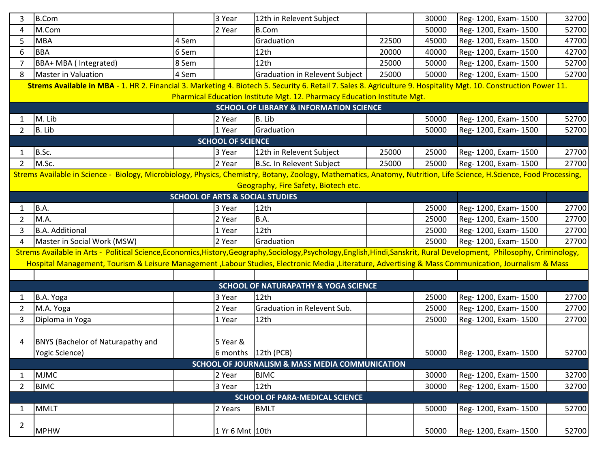| 3              | <b>B.Com</b>                                                                                                                                                              |       | 3 Year                   | 12th in Relevent Subject                                                 |       | 30000 | Reg- 1200, Exam- 1500 | 32700 |  |
|----------------|---------------------------------------------------------------------------------------------------------------------------------------------------------------------------|-------|--------------------------|--------------------------------------------------------------------------|-------|-------|-----------------------|-------|--|
| 4              | M.Com                                                                                                                                                                     |       | 2 Year                   | <b>B.Com</b>                                                             |       | 50000 | Reg- 1200, Exam- 1500 | 52700 |  |
| 5              | <b>MBA</b>                                                                                                                                                                | 4 Sem |                          | Graduation                                                               | 22500 | 45000 | Reg- 1200, Exam- 1500 | 47700 |  |
| 6              | <b>BBA</b>                                                                                                                                                                | 6 Sem |                          | 12th                                                                     | 20000 | 40000 | Reg- 1200, Exam- 1500 | 42700 |  |
| 7              | BBA+ MBA ( Integrated)                                                                                                                                                    | 8 Sem |                          | 12th                                                                     | 25000 | 50000 | Reg-1200, Exam-1500   | 52700 |  |
| 8              | <b>Master in Valuation</b>                                                                                                                                                | 4 Sem |                          | Graduation in Relevent Subject                                           | 25000 | 50000 | Reg- 1200, Exam- 1500 | 52700 |  |
|                | Strems Available in MBA - 1. HR 2. Financial 3. Marketing 4. Biotech 5. Security 6. Retail 7. Sales 8. Agriculture 9. Hospitality Mgt. 10. Construction Power 11.         |       |                          |                                                                          |       |       |                       |       |  |
|                |                                                                                                                                                                           |       |                          | Pharmical Education Institute Mgt. 12. Pharmacy Education Institute Mgt. |       |       |                       |       |  |
|                | <b>SCHOOL OF LIBRARY &amp; INFORMATION SCIENCE</b>                                                                                                                        |       |                          |                                                                          |       |       |                       |       |  |
| 1              | M. Lib                                                                                                                                                                    |       | 2 Year                   | B. Lib                                                                   |       | 50000 | Reg- 1200, Exam- 1500 | 52700 |  |
| $\overline{2}$ | B. Lib                                                                                                                                                                    |       | 1 Year                   | Graduation                                                               |       | 50000 | Reg- 1200, Exam- 1500 | 52700 |  |
|                |                                                                                                                                                                           |       | <b>SCHOOL OF SCIENCE</b> |                                                                          |       |       |                       |       |  |
|                | B.Sc.                                                                                                                                                                     |       | 3 Year                   | 12th in Relevent Subject                                                 | 25000 | 25000 | Reg- 1200, Exam- 1500 | 27700 |  |
| 2              | M.Sc.                                                                                                                                                                     |       | 2 Year                   | B.Sc. In Relevent Subject                                                | 25000 | 25000 | Reg- 1200, Exam- 1500 | 27700 |  |
|                | Strems Available in Science - Biology, Microbiology, Physics, Chemistry, Botany, Zoology, Mathematics, Anatomy, Nutrition, Life Science, H.Science, Food Processing,      |       |                          |                                                                          |       |       |                       |       |  |
|                |                                                                                                                                                                           |       |                          | Geography, Fire Safety, Biotech etc.                                     |       |       |                       |       |  |
|                |                                                                                                                                                                           |       |                          | <b>SCHOOL OF ARTS &amp; SOCIAL STUDIES</b>                               |       |       |                       |       |  |
| 1              | B.A.                                                                                                                                                                      |       | 3 Year                   | 12th                                                                     |       | 25000 | Reg- 1200, Exam- 1500 | 27700 |  |
| $\overline{2}$ | M.A.                                                                                                                                                                      |       | 2 Year                   | <b>B.A.</b>                                                              |       | 25000 | Reg- 1200, Exam- 1500 | 27700 |  |
| 3              | <b>B.A. Additional</b>                                                                                                                                                    |       | 1 Year                   | 12th                                                                     |       | 25000 | Reg- 1200, Exam- 1500 | 27700 |  |
| 4              | Master in Social Work (MSW)                                                                                                                                               |       | 2 Year                   | Graduation                                                               |       | 25000 | Reg- 1200, Exam- 1500 | 27700 |  |
|                | Strems Available in Arts - Political Science, Economics, History, Geography, Sociology, Psychology, English, Hindi, Sanskrit, Rural Development, Philosophy, Criminology, |       |                          |                                                                          |       |       |                       |       |  |
|                | Hospital Management, Tourism & Leisure Management, Labour Studies, Electronic Media, Literature, Advertising & Mass Communication, Journalism & Mass                      |       |                          |                                                                          |       |       |                       |       |  |
|                |                                                                                                                                                                           |       |                          |                                                                          |       |       |                       |       |  |
|                |                                                                                                                                                                           |       |                          | <b>SCHOOL OF NATURAPATHY &amp; YOGA SCIENCE</b>                          |       |       |                       |       |  |
|                | B.A. Yoga                                                                                                                                                                 |       | 3 Year                   | 12th                                                                     |       | 25000 | Reg- 1200, Exam- 1500 | 27700 |  |
| 2              | M.A. Yoga                                                                                                                                                                 |       | 2 Year                   | <b>Graduation in Relevent Sub.</b>                                       |       | 25000 | Reg- 1200, Exam- 1500 | 27700 |  |
| 3              | Diploma in Yoga                                                                                                                                                           |       | 1 Year                   | 12th                                                                     |       | 25000 | Reg- 1200, Exam- 1500 | 27700 |  |
|                |                                                                                                                                                                           |       |                          |                                                                          |       |       |                       |       |  |
| 4              | <b>BNYS (Bachelor of Naturapathy and</b>                                                                                                                                  |       | 5 Year &                 |                                                                          |       |       |                       |       |  |
|                | Yogic Science)                                                                                                                                                            |       |                          | 6 months 12th (PCB)                                                      |       | 50000 | Reg- 1200, Exam- 1500 | 52700 |  |
|                |                                                                                                                                                                           |       |                          | <b>SCHOOL OF JOURNALISM &amp; MASS MEDIA COMMUNICATION</b>               |       |       |                       |       |  |
| 1              | <b>MJMC</b>                                                                                                                                                               |       | 2 Year                   | <b>BJMC</b>                                                              |       | 30000 | Reg- 1200, Exam- 1500 | 32700 |  |
| $\overline{2}$ | <b>BJMC</b>                                                                                                                                                               |       | 3 Year                   | 12 <sub>th</sub>                                                         |       | 30000 | Reg- 1200, Exam- 1500 | 32700 |  |
|                |                                                                                                                                                                           |       |                          | <b>SCHOOL OF PARA-MEDICAL SCIENCE</b>                                    |       |       |                       |       |  |
| $\mathbf{1}$   | <b>MMLT</b>                                                                                                                                                               |       | 2 Years                  | <b>BMLT</b>                                                              |       | 50000 | Reg- 1200, Exam- 1500 | 52700 |  |
| $\overline{2}$ |                                                                                                                                                                           |       |                          |                                                                          |       |       |                       |       |  |
|                | <b>MPHW</b>                                                                                                                                                               |       | 1 Yr 6 Mnt 10th          |                                                                          |       | 50000 | Reg-1200, Exam-1500   | 52700 |  |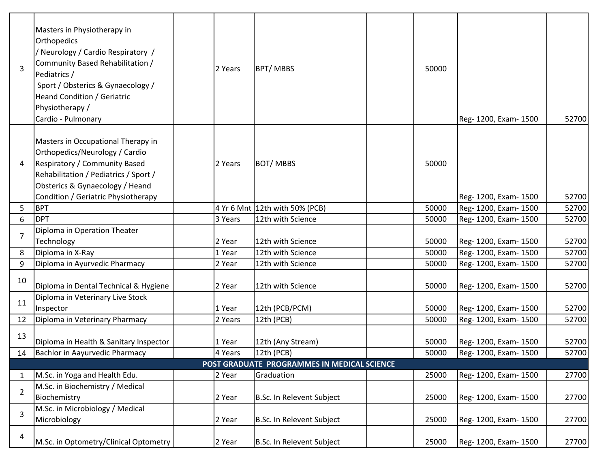| 3              | Masters in Physiotherapy in<br>Orthopedics<br>/ Neurology / Cardio Respiratory /<br>Community Based Rehabilitation /<br>Pediatrics /<br>Sport / Obsterics & Gynaecology /<br><b>Heand Condition / Geriatric</b><br>Physiotherapy /<br>Cardio - Pulmonary | 2 Years | <b>BPT/MBBS</b>                             | 50000 | Reg- 1200, Exam- 1500 | 52700 |
|----------------|----------------------------------------------------------------------------------------------------------------------------------------------------------------------------------------------------------------------------------------------------------|---------|---------------------------------------------|-------|-----------------------|-------|
| 4              | Masters in Occupational Therapy in<br>Orthopedics/Neurology / Cardio<br><b>Respiratory / Community Based</b><br>Rehabilitation / Pediatrics / Sport /<br>Obsterics & Gynaecology / Heand<br>Condition / Geriatric Physiotherapy                          | 2 Years | <b>BOT/MBBS</b>                             | 50000 | Reg- 1200, Exam- 1500 | 52700 |
| 5              | <b>BPT</b>                                                                                                                                                                                                                                               |         | 4 Yr 6 Mnt 12th with 50% (PCB)              | 50000 | Reg- 1200, Exam- 1500 | 52700 |
| 6              | <b>DPT</b>                                                                                                                                                                                                                                               | 3 Years | 12th with Science                           | 50000 | Reg- 1200, Exam- 1500 | 52700 |
| $\overline{7}$ | Diploma in Operation Theater                                                                                                                                                                                                                             |         |                                             |       |                       |       |
|                | Technology                                                                                                                                                                                                                                               | 2 Year  | 12th with Science                           | 50000 | Reg- 1200, Exam- 1500 | 52700 |
| 8              | Diploma in X-Ray                                                                                                                                                                                                                                         | 1 Year  | 12th with Science                           | 50000 | Reg- 1200, Exam- 1500 | 52700 |
| 9              | Diploma in Ayurvedic Pharmacy                                                                                                                                                                                                                            | 2 Year  | 12th with Science                           | 50000 | Reg-1200, Exam-1500   | 52700 |
| 10             | Diploma in Dental Technical & Hygiene                                                                                                                                                                                                                    | 2 Year  | 12th with Science                           | 50000 | Reg- 1200, Exam- 1500 | 52700 |
| 11             | Diploma in Veterinary Live Stock                                                                                                                                                                                                                         |         |                                             |       |                       |       |
|                | Inspector                                                                                                                                                                                                                                                | 1 Year  | 12th (PCB/PCM)                              | 50000 | Reg- 1200, Exam- 1500 | 52700 |
| 12             | Diploma in Veterinary Pharmacy                                                                                                                                                                                                                           | 2 Years | 12th (PCB)                                  | 50000 | Reg- 1200, Exam- 1500 | 52700 |
| 13             | Diploma in Health & Sanitary Inspector                                                                                                                                                                                                                   | 1 Year  | 12th (Any Stream)                           | 50000 | Reg- 1200, Exam- 1500 | 52700 |
| 14             | Bachlor in Aayurvedic Pharmacy                                                                                                                                                                                                                           | 4 Years | 12th (PCB)                                  | 50000 | Reg- 1200, Exam- 1500 | 52700 |
|                |                                                                                                                                                                                                                                                          |         | POST GRADUATE PROGRAMMES IN MEDICAL SCIENCE |       |                       |       |
| $\mathbf{1}$   | M.Sc. in Yoga and Health Edu.                                                                                                                                                                                                                            | 2 Year  | Graduation                                  | 25000 | Reg- 1200, Exam- 1500 | 27700 |
| $\overline{2}$ | M.Sc. in Biochemistry / Medical                                                                                                                                                                                                                          |         |                                             |       |                       |       |
|                | Biochemistry                                                                                                                                                                                                                                             | 2 Year  | B.Sc. In Relevent Subject                   | 25000 | Reg- 1200, Exam- 1500 | 27700 |
| 3              | M.Sc. in Microbiology / Medical<br>Microbiology                                                                                                                                                                                                          | 2 Year  | B.Sc. In Relevent Subject                   | 25000 | Reg- 1200, Exam- 1500 | 27700 |
| 4              | M.Sc. in Optometry/Clinical Optometry                                                                                                                                                                                                                    | 2 Year  | B.Sc. In Relevent Subject                   | 25000 | Reg- 1200, Exam- 1500 | 27700 |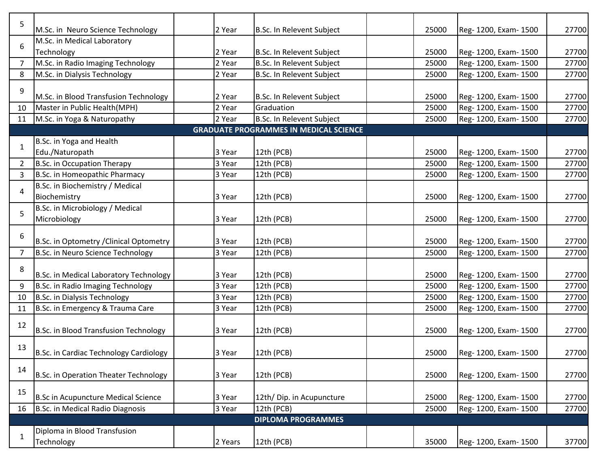| 5              | M.Sc. in Neuro Science Technology       | 2 Year  | B.Sc. In Relevent Subject                     | 25000 | Reg- 1200, Exam- 1500 | 27700 |
|----------------|-----------------------------------------|---------|-----------------------------------------------|-------|-----------------------|-------|
|                | M.Sc. in Medical Laboratory             |         |                                               |       |                       |       |
| 6              | Technology                              | 2 Year  | B.Sc. In Relevent Subject                     | 25000 | Reg- 1200, Exam- 1500 | 27700 |
| $\overline{7}$ | M.Sc. in Radio Imaging Technology       | 2 Year  | B.Sc. In Relevent Subject                     | 25000 | Reg- 1200, Exam- 1500 | 27700 |
| 8              | M.Sc. in Dialysis Technology            | 2 Year  | B.Sc. In Relevent Subject                     | 25000 | Reg- 1200, Exam- 1500 | 27700 |
| 9              | M.Sc. in Blood Transfusion Technology   | 2 Year  | B.Sc. In Relevent Subject                     | 25000 | Reg- 1200, Exam- 1500 | 27700 |
| 10             | Master in Public Health(MPH)            | 2 Year  | Graduation                                    | 25000 | Reg- 1200, Exam- 1500 | 27700 |
| 11             | M.Sc. in Yoga & Naturopathy             | 2 Year  | <b>B.Sc. In Relevent Subject</b>              | 25000 | Reg- 1200, Exam- 1500 | 27700 |
|                |                                         |         | <b>GRADUATE PROGRAMMES IN MEDICAL SCIENCE</b> |       |                       |       |
|                | B.Sc. in Yoga and Health                |         |                                               |       |                       |       |
| $\mathbf{1}$   | Edu./Naturopath                         | 3 Year  | 12th (PCB)                                    | 25000 | Reg- 1200, Exam- 1500 | 27700 |
| 2              | B.Sc. in Occupation Therapy             | 3 Year  | 12th (PCB)                                    | 25000 | Reg- 1200, Exam- 1500 | 27700 |
| 3              | B.Sc. in Homeopathic Pharmacy           | 3 Year  | 12th (PCB)                                    | 25000 | Reg- 1200, Exam- 1500 | 27700 |
|                | B.Sc. in Biochemistry / Medical         |         |                                               |       |                       |       |
| 4              | Biochemistry                            | 3 Year  | 12th (PCB)                                    | 25000 | Reg- 1200, Exam- 1500 | 27700 |
|                | B.Sc. in Microbiology / Medical         |         |                                               |       |                       |       |
| 5              | Microbiology                            | 3 Year  | 12th (PCB)                                    | 25000 | Reg- 1200, Exam- 1500 | 27700 |
|                |                                         |         |                                               |       |                       |       |
| 6              | B.Sc. in Optometry / Clinical Optometry | 3 Year  | 12th (PCB)                                    | 25000 | Reg- 1200, Exam- 1500 | 27700 |
| $\overline{7}$ | B.Sc. in Neuro Science Technology       | 3 Year  | 12th (PCB)                                    | 25000 | Reg- 1200, Exam- 1500 | 27700 |
|                |                                         |         |                                               |       |                       |       |
| 8              | B.Sc. in Medical Laboratory Technology  | 3 Year  | 12th (PCB)                                    | 25000 | Reg- 1200, Exam- 1500 | 27700 |
| 9              | B.Sc. in Radio Imaging Technology       | 3 Year  | 12th (PCB)                                    | 25000 | Reg- 1200, Exam- 1500 | 27700 |
| 10             | B.Sc. in Dialysis Technology            | 3 Year  | 12th (PCB)                                    | 25000 | Reg- 1200, Exam- 1500 | 27700 |
| 11             | B.Sc. in Emergency & Trauma Care        | 3 Year  | 12th (PCB)                                    | 25000 | Reg- 1200, Exam- 1500 | 27700 |
|                |                                         |         |                                               |       |                       |       |
| 12             | B.Sc. in Blood Transfusion Technology   | 3 Year  | 12th (PCB)                                    | 25000 | Reg- 1200, Exam- 1500 | 27700 |
|                |                                         |         |                                               |       |                       |       |
| 13             | B.Sc. in Cardiac Technology Cardiology  | 3 Year  | 12th (PCB)                                    | 25000 | Reg- 1200, Exam- 1500 | 27700 |
|                |                                         |         |                                               |       |                       |       |
| 14             | B.Sc. in Operation Theater Technology   | 3 Year  | 12th (PCB)                                    | 25000 | Reg- 1200, Exam- 1500 | 27700 |
|                |                                         |         |                                               |       |                       |       |
| 15             | B.Sc in Acupuncture Medical Science     | 3 Year  | 12th/ Dip. in Acupuncture                     | 25000 | Reg- 1200, Exam- 1500 | 27700 |
| 16             | B.Sc. in Medical Radio Diagnosis        | 3 Year  | 12th (PCB)                                    | 25000 | Reg- 1200, Exam- 1500 | 27700 |
|                |                                         |         | <b>DIPLOMA PROGRAMMES</b>                     |       |                       |       |
|                | Diploma in Blood Transfusion            |         |                                               |       |                       |       |
| $\mathbf{1}$   | Technology                              | 2 Years | 12th (PCB)                                    | 35000 | Reg- 1200, Exam- 1500 | 37700 |
|                |                                         |         |                                               |       |                       |       |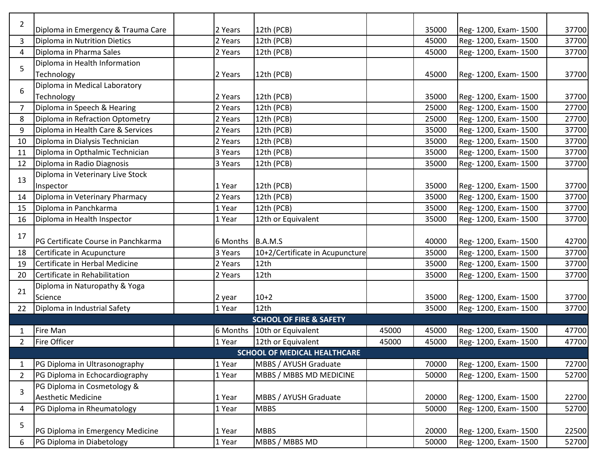| 2              | Diploma in Emergency & Trauma Care  | 2 Years          | 12th (PCB)                          |       | 35000 | Reg- 1200, Exam- 1500 | 37700 |
|----------------|-------------------------------------|------------------|-------------------------------------|-------|-------|-----------------------|-------|
| 3              | Diploma in Nutrition Dietics        | 2 Years          | 12th (PCB)                          |       | 45000 | Reg- 1200, Exam- 1500 | 37700 |
| 4              | Diploma in Pharma Sales             | 2 Years          | 12th (PCB)                          |       | 45000 | Reg- 1200, Exam- 1500 | 37700 |
|                | Diploma in Health Information       |                  |                                     |       |       |                       |       |
| 5              | Technology                          | 2 Years          | 12th (PCB)                          |       | 45000 | Reg- 1200, Exam- 1500 | 37700 |
|                | Diploma in Medical Laboratory       |                  |                                     |       |       |                       |       |
| 6              | Technology                          | 2 Years          | 12th (PCB)                          |       | 35000 | Reg- 1200, Exam- 1500 | 37700 |
| $\overline{7}$ | Diploma in Speech & Hearing         | 2 Years          | 12th (PCB)                          |       | 25000 | Reg- 1200, Exam- 1500 | 27700 |
| 8              | Diploma in Refraction Optometry     | 2 Years          | 12th (PCB)                          |       | 25000 | Reg- 1200, Exam- 1500 | 27700 |
| 9              | Diploma in Health Care & Services   | 2 Years          | 12th (PCB)                          |       | 35000 | Reg- 1200, Exam- 1500 | 37700 |
| 10             | Diploma in Dialysis Technician      | 2 Years          | 12th (PCB)                          |       | 35000 | Reg- 1200, Exam- 1500 | 37700 |
| 11             | Diploma in Opthalmic Technician     | 3 Years          | 12th (PCB)                          |       | 35000 | Reg- 1200, Exam- 1500 | 37700 |
| 12             | Diploma in Radio Diagnosis          | 3 Years          | 12th (PCB)                          |       | 35000 | Reg- 1200, Exam- 1500 | 37700 |
|                | Diploma in Veterinary Live Stock    |                  |                                     |       |       |                       |       |
| 13             | Inspector                           | 1 Year           | 12th (PCB)                          |       | 35000 | Reg- 1200, Exam- 1500 | 37700 |
| 14             | Diploma in Veterinary Pharmacy      | 2 Years          | 12th (PCB)                          |       | 35000 | Reg- 1200, Exam- 1500 | 37700 |
| 15             | Diploma in Panchkarma               | 1 Year           | 12th (PCB)                          |       | 35000 | Reg- 1200, Exam- 1500 | 37700 |
| 16             | Diploma in Health Inspector         | 1 Year           | 12th or Equivalent                  |       | 35000 | Reg- 1200, Exam- 1500 | 37700 |
|                |                                     |                  |                                     |       |       |                       |       |
| 17             | PG Certificate Course in Panchkarma | 6 Months B.A.M.S |                                     |       | 40000 | Reg- 1200, Exam- 1500 | 42700 |
| 18             | Certificate in Acupuncture          | 3 Years          | 10+2/Certificate in Acupuncture     |       | 35000 | Reg- 1200, Exam- 1500 | 37700 |
| 19             | Certificate in Herbal Medicine      | 2 Years          | 12th                                |       | 35000 | Reg- 1200, Exam- 1500 | 37700 |
| 20             | Certificate in Rehabilitation       | 2 Years          | 12th                                |       | 35000 | Reg- 1200, Exam- 1500 | 37700 |
| 21             | Diploma in Naturopathy & Yoga       |                  |                                     |       |       |                       |       |
|                | Science                             | 2 year           | $10+2$                              |       | 35000 | Reg- 1200, Exam- 1500 | 37700 |
| 22             | Diploma in Industrial Safety        | 1 Year           | 12th                                |       | 35000 | Reg- 1200, Exam- 1500 | 37700 |
|                |                                     |                  | <b>SCHOOL OF FIRE &amp; SAFETY</b>  |       |       |                       |       |
| 1              | <b>Fire Man</b>                     |                  | 6 Months 10th or Equivalent         | 45000 | 45000 | Reg- 1200, Exam- 1500 | 47700 |
| $\overline{2}$ | <b>Fire Officer</b>                 | 1 Year           | 12th or Equivalent                  | 45000 | 45000 | Reg- 1200, Exam- 1500 | 47700 |
|                |                                     |                  | <b>SCHOOL OF MEDICAL HEALTHCARE</b> |       |       |                       |       |
| 1              | PG Diploma in Ultrasonography       | 1 Year           | MBBS / AYUSH Graduate               |       | 70000 | Reg- 1200, Exam- 1500 | 72700 |
| 2              | PG Diploma in Echocardiography      | 1 Year           | MBBS / MBBS MD MEDICINE             |       | 50000 | Reg- 1200, Exam- 1500 | 52700 |
| 3              | PG Diploma in Cosmetology &         |                  |                                     |       |       |                       |       |
|                | <b>Aesthetic Medicine</b>           | 1 Year           | MBBS / AYUSH Graduate               |       | 20000 | Reg- 1200, Exam- 1500 | 22700 |
| 4              | PG Diploma in Rheumatology          | 1 Year           | <b>MBBS</b>                         |       | 50000 | Reg- 1200, Exam- 1500 | 52700 |
| 5              |                                     |                  |                                     |       |       |                       |       |
|                | PG Diploma in Emergency Medicine    | 1 Year           | <b>MBBS</b>                         |       | 20000 | Reg- 1200, Exam- 1500 | 22500 |
| 6              | PG Diploma in Diabetology           | 1 Year           | MBBS / MBBS MD                      |       | 50000 | Reg- 1200, Exam- 1500 | 52700 |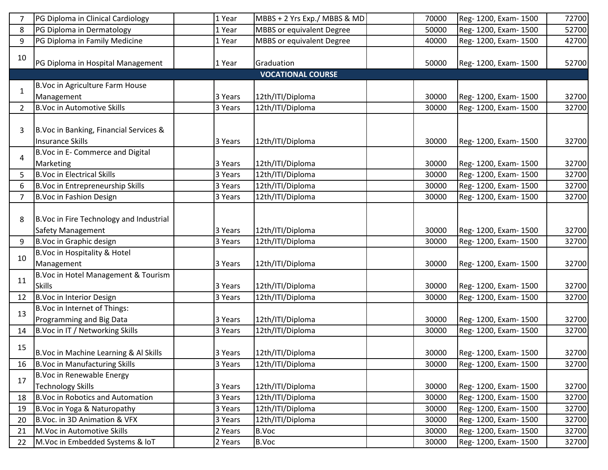|                | PG Diploma in Clinical Cardiology        | 1 Year  | MBBS + 2 Yrs Exp./ MBBS & MD     | 70000 | Reg- 1200, Exam- 1500 | 72700 |
|----------------|------------------------------------------|---------|----------------------------------|-------|-----------------------|-------|
| 8              | PG Diploma in Dermatology                | 1 Year  | <b>MBBS</b> or equivalent Degree | 50000 | Reg- 1200, Exam- 1500 | 52700 |
| 9              | PG Diploma in Family Medicine            | 1 Year  | MBBS or equivalent Degree        | 40000 | Reg- 1200, Exam- 1500 | 42700 |
| 10             |                                          |         |                                  |       |                       |       |
|                | PG Diploma in Hospital Management        | 1 Year  | Graduation                       | 50000 | Reg- 1200, Exam- 1500 | 52700 |
|                |                                          |         | <b>VOCATIONAL COURSE</b>         |       |                       |       |
| 1              | B. Voc in Agriculture Farm House         |         |                                  |       |                       |       |
|                | Management                               | 3 Years | 12th/ITI/Diploma                 | 30000 | Reg- 1200, Exam- 1500 | 32700 |
| $\overline{2}$ | <b>B.Voc in Automotive Skills</b>        | 3 Years | 12th/ITI/Diploma                 | 30000 | Reg- 1200, Exam- 1500 | 32700 |
|                |                                          |         |                                  |       |                       |       |
| 3              | B. Voc in Banking, Financial Services &  |         |                                  |       |                       |       |
|                | <b>Insurance Skills</b>                  | 3 Years | 12th/ITI/Diploma                 | 30000 | Reg- 1200, Exam- 1500 | 32700 |
| 4              | B. Voc in E- Commerce and Digital        |         |                                  |       |                       |       |
|                | Marketing                                | 3 Years | 12th/ITI/Diploma                 | 30000 | Reg- 1200, Exam- 1500 | 32700 |
| 5              | <b>B.Voc in Electrical Skills</b>        | 3 Years | 12th/ITI/Diploma                 | 30000 | Reg- 1200, Exam- 1500 | 32700 |
| 6              | B. Voc in Entrepreneurship Skills        | 3 Years | 12th/ITI/Diploma                 | 30000 | Reg- 1200, Exam- 1500 | 32700 |
| 7              | B.Voc in Fashion Design                  | 3 Years | 12th/ITI/Diploma                 | 30000 | Reg-1200, Exam-1500   | 32700 |
|                |                                          |         |                                  |       |                       |       |
| 8              | B. Voc in Fire Technology and Industrial |         |                                  |       |                       |       |
|                | <b>Safety Management</b>                 | 3 Years | 12th/ITI/Diploma                 | 30000 | Reg- 1200, Exam- 1500 | 32700 |
| 9              | B.Voc in Graphic design                  | 3 Years | 12th/ITI/Diploma                 | 30000 | Reg- 1200, Exam- 1500 | 32700 |
| 10             | B. Voc in Hospitality & Hotel            |         |                                  |       |                       |       |
|                | Management                               | 3 Years | 12th/ITI/Diploma                 | 30000 | Reg- 1200, Exam- 1500 | 32700 |
| 11             | B.Voc in Hotel Management & Tourism      |         |                                  |       |                       |       |
|                | <b>Skills</b>                            | 3 Years | 12th/ITI/Diploma                 | 30000 | Reg- 1200, Exam- 1500 | 32700 |
| 12             | B.Voc in Interior Design                 | 3 Years | 12th/ITI/Diploma                 | 30000 | Reg-1200, Exam-1500   | 32700 |
| 13             | B. Voc in Internet of Things:            |         |                                  |       |                       |       |
|                | Programming and Big Data                 | 3 Years | 12th/ITI/Diploma                 | 30000 | Reg- 1200, Exam- 1500 | 32700 |
| 14             | B. Voc in IT / Networking Skills         | 3 Years | 12th/ITI/Diploma                 | 30000 | Reg- 1200, Exam- 1500 | 32700 |
| 15             |                                          |         |                                  |       |                       |       |
|                | B. Voc in Machine Learning & Al Skills   | 3 Years | 12th/ITI/Diploma                 | 30000 | Reg- 1200, Exam- 1500 | 32700 |
| 16             | <b>B.Voc in Manufacturing Skills</b>     | 3 Years | 12th/ITI/Diploma                 | 30000 | Reg- 1200, Exam- 1500 | 32700 |
| 17             | B.Voc in Renewable Energy                |         |                                  |       |                       |       |
|                | <b>Technology Skills</b>                 | 3 Years | 12th/ITI/Diploma                 | 30000 | Reg- 1200, Exam- 1500 | 32700 |
| 18             | B. Voc in Robotics and Automation        | 3 Years | 12th/ITI/Diploma                 | 30000 | Reg- 1200, Exam- 1500 | 32700 |
| 19             | B. Voc in Yoga & Naturopathy             | 3 Years | 12th/ITI/Diploma                 | 30000 | Reg- 1200, Exam- 1500 | 32700 |
| 20             | B.Voc. in 3D Animation & VFX             | 3 Years | 12th/ITI/Diploma                 | 30000 | Reg- 1200, Exam- 1500 | 32700 |
| 21             | M. Voc in Automotive Skills              | 2 Years | <b>B.Voc</b>                     | 30000 | Reg- 1200, Exam- 1500 | 32700 |
| 22             | M. Voc in Embedded Systems & IoT         | 2 Years | B.Voc                            | 30000 | Reg- 1200, Exam- 1500 | 32700 |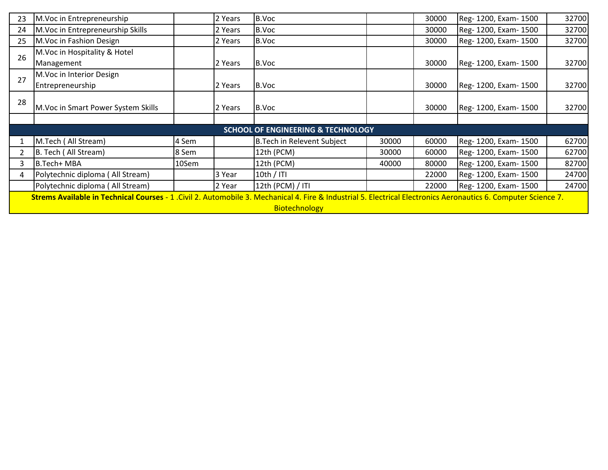| 23 | M. Voc in Entrepreneurship                                                                                                                                      |       | 2 Years | B.Voc                                         |       | 30000 | Reg- 1200, Exam- 1500 | 32700 |  |
|----|-----------------------------------------------------------------------------------------------------------------------------------------------------------------|-------|---------|-----------------------------------------------|-------|-------|-----------------------|-------|--|
| 24 | M.Voc in Entrepreneurship Skills                                                                                                                                |       | 2 Years | B.Voc                                         |       | 30000 | Reg- 1200, Exam- 1500 | 32700 |  |
| 25 | M. Voc in Fashion Design                                                                                                                                        |       | 2 Years | B.Voc                                         |       | 30000 | Reg- 1200, Exam- 1500 | 32700 |  |
| 26 | M. Voc in Hospitality & Hotel                                                                                                                                   |       |         |                                               |       |       |                       |       |  |
|    | Management                                                                                                                                                      |       | 2 Years | B.Voc                                         |       | 30000 | Reg- 1200, Exam- 1500 | 32700 |  |
| 27 | M.Voc in Interior Design                                                                                                                                        |       |         |                                               |       |       |                       |       |  |
|    | Entrepreneurship                                                                                                                                                |       | 2 Years | B.Voc                                         |       | 30000 | Reg- 1200, Exam- 1500 | 32700 |  |
| 28 |                                                                                                                                                                 |       |         |                                               |       |       |                       |       |  |
|    | M. Voc in Smart Power System Skills                                                                                                                             |       | 2 Years | B.Voc                                         |       | 30000 | Reg- 1200, Exam- 1500 | 32700 |  |
|    |                                                                                                                                                                 |       |         |                                               |       |       |                       |       |  |
|    |                                                                                                                                                                 |       |         | <b>SCHOOL OF ENGINEERING &amp; TECHNOLOGY</b> |       |       |                       |       |  |
|    | M.Tech (All Stream)                                                                                                                                             | 4 Sem |         | <b>B.Tech in Relevent Subject</b>             | 30000 | 60000 | Reg- 1200, Exam- 1500 | 62700 |  |
|    | B. Tech (All Stream)                                                                                                                                            | 8 Sem |         | 12th (PCM)                                    | 30000 | 60000 | Reg- 1200, Exam- 1500 | 62700 |  |
| 3  | B.Tech+ MBA                                                                                                                                                     | 10Sem |         | 12th (PCM)                                    | 40000 | 80000 | Reg- 1200, Exam- 1500 | 82700 |  |
|    | Polytechnic diploma (All Stream)                                                                                                                                |       | 3 Year  | 10th $/$ ITI                                  |       | 22000 | Reg- 1200, Exam- 1500 | 24700 |  |
|    | Polytechnic diploma (All Stream)                                                                                                                                |       | 2 Year  | 12th (PCM) / ITI                              |       | 22000 | Reg- 1200, Exam- 1500 | 24700 |  |
|    | Strems Available in Technical Courses - 1 . Civil 2. Automobile 3. Mechanical 4. Fire & Industrial 5. Electrical Electronics Aeronautics 6. Computer Science 7. |       |         |                                               |       |       |                       |       |  |
|    | <b>Biotechnology</b>                                                                                                                                            |       |         |                                               |       |       |                       |       |  |